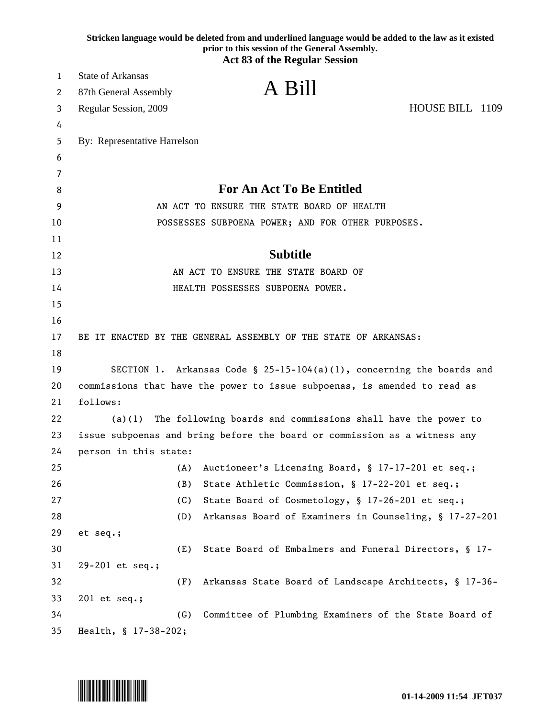|        |                                                                           | Stricken language would be deleted from and underlined language would be added to the law as it existed<br>prior to this session of the General Assembly.<br><b>Act 83 of the Regular Session</b> |  |
|--------|---------------------------------------------------------------------------|---------------------------------------------------------------------------------------------------------------------------------------------------------------------------------------------------|--|
| 1      | <b>State of Arkansas</b>                                                  |                                                                                                                                                                                                   |  |
| 2      | 87th General Assembly                                                     | A Bill                                                                                                                                                                                            |  |
|        | Regular Session, 2009                                                     | HOUSE BILL 1109                                                                                                                                                                                   |  |
| 3      |                                                                           |                                                                                                                                                                                                   |  |
| 4<br>5 | By: Representative Harrelson                                              |                                                                                                                                                                                                   |  |
| 6      |                                                                           |                                                                                                                                                                                                   |  |
| 7      |                                                                           |                                                                                                                                                                                                   |  |
| 8      |                                                                           | <b>For An Act To Be Entitled</b>                                                                                                                                                                  |  |
| 9      |                                                                           | AN ACT TO ENSURE THE STATE BOARD OF HEALTH                                                                                                                                                        |  |
| 10     |                                                                           | POSSESSES SUBPOENA POWER; AND FOR OTHER PURPOSES.                                                                                                                                                 |  |
| 11     |                                                                           |                                                                                                                                                                                                   |  |
| 12     |                                                                           | <b>Subtitle</b>                                                                                                                                                                                   |  |
| 13     |                                                                           | AN ACT TO ENSURE THE STATE BOARD OF                                                                                                                                                               |  |
| 14     |                                                                           | HEALTH POSSESSES SUBPOENA POWER.                                                                                                                                                                  |  |
| 15     |                                                                           |                                                                                                                                                                                                   |  |
| 16     |                                                                           |                                                                                                                                                                                                   |  |
| 17     |                                                                           | BE IT ENACTED BY THE GENERAL ASSEMBLY OF THE STATE OF ARKANSAS:                                                                                                                                   |  |
| 18     |                                                                           |                                                                                                                                                                                                   |  |
| 19     |                                                                           | SECTION 1. Arkansas Code § 25-15-104(a)(1), concerning the boards and                                                                                                                             |  |
| 20     |                                                                           | commissions that have the power to issue subpoenas, is amended to read as                                                                                                                         |  |
| 21     | follows:                                                                  |                                                                                                                                                                                                   |  |
| 22     | The following boards and commissions shall have the power to<br>(a)(1)    |                                                                                                                                                                                                   |  |
| 23     | issue subpoenas and bring before the board or commission as a witness any |                                                                                                                                                                                                   |  |
| 24     | person in this state:                                                     |                                                                                                                                                                                                   |  |
| 25     | (A)                                                                       | Auctioneer's Licensing Board, § 17-17-201 et seq.;                                                                                                                                                |  |
| 26     | (B)                                                                       | State Athletic Commission, § 17-22-201 et seq.;                                                                                                                                                   |  |
| 27     | (C)                                                                       | State Board of Cosmetology, § 17-26-201 et seq.;                                                                                                                                                  |  |
| 28     | (D)                                                                       | Arkansas Board of Examiners in Counseling, § 17-27-201                                                                                                                                            |  |
| 29     | et seq.;                                                                  |                                                                                                                                                                                                   |  |
| 30     | (E)                                                                       | State Board of Embalmers and Funeral Directors, § 17-                                                                                                                                             |  |
| 31     | 29-201 et seq.;                                                           |                                                                                                                                                                                                   |  |
| 32     | (F)                                                                       | Arkansas State Board of Landscape Architects, § 17-36-                                                                                                                                            |  |
| 33     | 201 et seq.;                                                              |                                                                                                                                                                                                   |  |
| 34     | (G)                                                                       | Committee of Plumbing Examiners of the State Board of                                                                                                                                             |  |
| 35     | Health, § 17-38-202;                                                      |                                                                                                                                                                                                   |  |